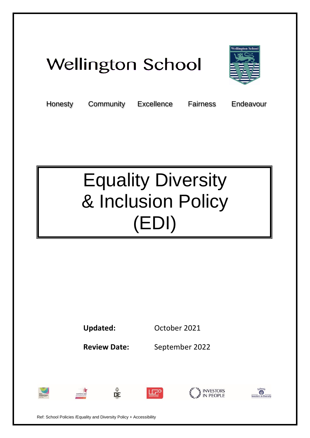# **Wellington School**



Honesty Community Excellence Fairness Endeavour

# Equality Diversity & Inclusion Policy (EDI)

**Updated:** October 2021

。<br>DE

**Review Date:** September 2022











Ref: School Policies /Equality and Diversity Policy + Accessibility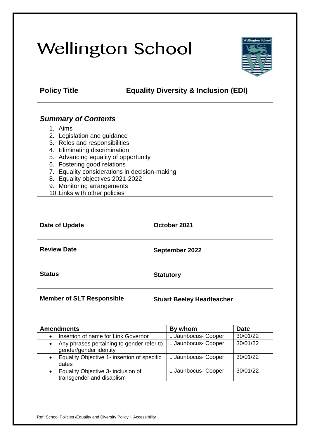# **Wellington School**



# **Policy Title Equality Diversity & Inclusion (EDI)**

# *Summary of Contents*

- 1. Aims
- 2. Legislation and guidance
- 3. Roles and responsibilities
- 4. Eliminating discrimination
- 5. Advancing equality of opportunity
- 6. Fostering good relations
- 7. Equality considerations in decision-making
- 8. Equality objectives 2021-2022
- 9. Monitoring arrangements
- 10.Links with other policies

| Date of Update                   | October 2021                     |
|----------------------------------|----------------------------------|
| <b>Review Date</b>               | September 2022                   |
| <b>Status</b>                    | <b>Statutory</b>                 |
| <b>Member of SLT Responsible</b> | <b>Stuart Beeley Headteacher</b> |

| <b>Amendments</b>                                                                | By whom             | <b>Date</b> |
|----------------------------------------------------------------------------------|---------------------|-------------|
| Insertion of name for Link Governor                                              | L Jaunbocus- Cooper | 30/01/22    |
| Any phrases pertaining to gender refer to<br>$\bullet$<br>gender/gender identity | L Jaunbocus- Cooper | 30/01/22    |
| Equality Objective 1- insertion of specific<br>dates                             | L Jaunbocus- Cooper | 30/01/22    |
| Equality Objective 3- inclusion of<br>transgender and disablism                  | L Jaunbocus- Cooper | 30/01/22    |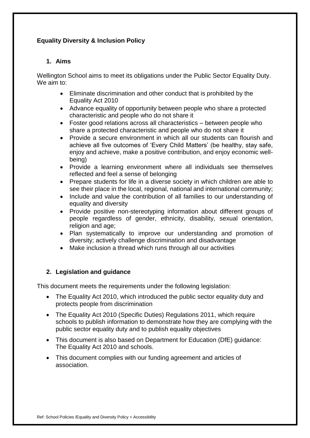# **Equality Diversity & Inclusion Policy**

# **1. Aims**

Wellington School aims to meet its obligations under the Public Sector Equality Duty. We aim to:

- Eliminate discrimination and other conduct that is prohibited by the Equality Act 2010
- Advance equality of opportunity between people who share a protected characteristic and people who do not share it
- Foster good relations across all characteristics between people who share a protected characteristic and people who do not share it
- Provide a secure environment in which all our students can flourish and achieve all five outcomes of 'Every Child Matters' (be healthy, stay safe, enjoy and achieve, make a positive contribution, and enjoy economic wellbeing)
- Provide a learning environment where all individuals see themselves reflected and feel a sense of belonging
- Prepare students for life in a diverse society in which children are able to see their place in the local, regional, national and international community;
- Include and value the contribution of all families to our understanding of equality and diversity
- Provide positive non-stereotyping information about different groups of people regardless of gender, ethnicity, disability, sexual orientation, religion and age;
- Plan systematically to improve our understanding and promotion of diversity; actively challenge discrimination and disadvantage
- Make inclusion a thread which runs through all our activities

# **2. Legislation and guidance**

This document meets the requirements under the following legislation:

- [The Equality Act 2010,](http://www.legislation.gov.uk/ukpga/2010/15/contents) which introduced the public sector equality duty and protects people from discrimination
- [The Equality Act 2010 \(Specific Duties\) Regulations 2011,](http://www.legislation.gov.uk/uksi/2011/2260/contents/made) which require schools to publish information to demonstrate how they are complying with the public sector equality duty and to publish equality objectives
- This document is also based on Department for Education (DfE) guidance: [The Equality Act 2010 and schools.](https://www.gov.uk/government/publications/equality-act-2010-advice-for-schools)
- This document complies with our funding agreement and articles of association.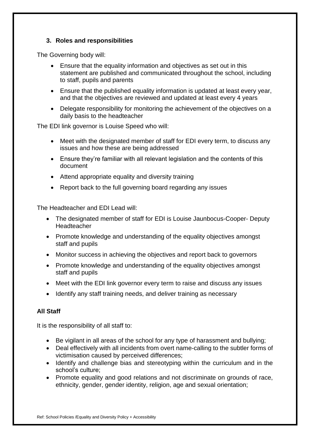# **3. Roles and responsibilities**

The Governing body will:

- Ensure that the equality information and objectives as set out in this statement are published and communicated throughout the school, including to staff, pupils and parents
- Ensure that the published equality information is updated at least every year, and that the objectives are reviewed and updated at least every 4 years
- Delegate responsibility for monitoring the achievement of the objectives on a daily basis to the headteacher

The EDI link governor is Louise Speed who will:

- Meet with the designated member of staff for EDI every term, to discuss any issues and how these are being addressed
- Ensure they're familiar with all relevant legislation and the contents of this document
- Attend appropriate equality and diversity training
- Report back to the full governing board regarding any issues

The Headteacher and EDI Lead will:

- The designated member of staff for EDI is Louise Jaunbocus-Cooper- Deputy Headteacher
- Promote knowledge and understanding of the equality objectives amongst staff and pupils
- Monitor success in achieving the objectives and report back to governors
- Promote knowledge and understanding of the equality objectives amongst staff and pupils
- Meet with the EDI link governor every term to raise and discuss any issues
- Identify any staff training needs, and deliver training as necessary

# **All Staff**

It is the responsibility of all staff to:

- Be vigilant in all areas of the school for any type of harassment and bullying;
- Deal effectively with all incidents from overt name-calling to the subtler forms of victimisation caused by perceived differences;
- Identify and challenge bias and stereotyping within the curriculum and in the school's culture;
- Promote equality and good relations and not discriminate on grounds of race, ethnicity, gender, gender identity, religion, age and sexual orientation;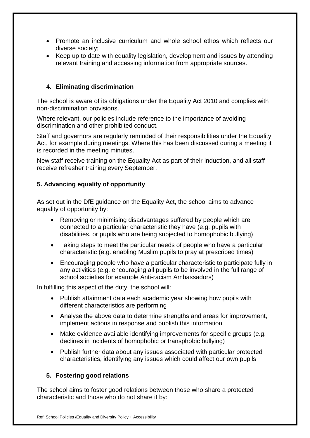- Promote an inclusive curriculum and whole school ethos which reflects our diverse society;
- Keep up to date with equality legislation, development and issues by attending relevant training and accessing information from appropriate sources.

# **4. Eliminating discrimination**

The school is aware of its obligations under the Equality Act 2010 and complies with non-discrimination provisions.

Where relevant, our policies include reference to the importance of avoiding discrimination and other prohibited conduct.

Staff and governors are regularly reminded of their responsibilities under the Equality Act, for example during meetings. Where this has been discussed during a meeting it is recorded in the meeting minutes.

New staff receive training on the Equality Act as part of their induction, and all staff receive refresher training every September.

# **5. Advancing equality of opportunity**

As set out in the DfE guidance on the Equality Act, the school aims to advance equality of opportunity by:

- Removing or minimising disadvantages suffered by people which are connected to a particular characteristic they have (e.g. pupils with disabilities, or pupils who are being subjected to homophobic bullying)
- Taking steps to meet the particular needs of people who have a particular characteristic (e.g. enabling Muslim pupils to pray at prescribed times)
- Encouraging people who have a particular characteristic to participate fully in any activities (e.g. encouraging all pupils to be involved in the full range of school societies for example Anti-racism Ambassadors)

In fulfilling this aspect of the duty, the school will:

- Publish attainment data each academic year showing how pupils with different characteristics are performing
- Analyse the above data to determine strengths and areas for improvement, implement actions in response and publish this information
- Make evidence available identifying improvements for specific groups (e.g. declines in incidents of homophobic or transphobic bullying)
- Publish further data about any issues associated with particular protected characteristics, identifying any issues which could affect our own pupils

# **5. Fostering good relations**

The school aims to foster good relations between those who share a protected characteristic and those who do not share it by: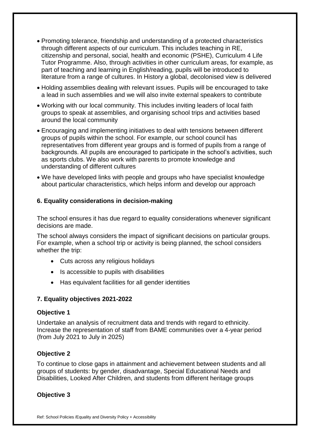- Promoting tolerance, friendship and understanding of a protected characteristics through different aspects of our curriculum. This includes teaching in RE, citizenship and personal, social, health and economic (PSHE), Curriculum 4 Life Tutor Programme. Also, through activities in other curriculum areas, for example, as part of teaching and learning in English/reading, pupils will be introduced to literature from a range of cultures. In History a global, decolonised view is delivered
- Holding assemblies dealing with relevant issues. Pupils will be encouraged to take a lead in such assemblies and we will also invite external speakers to contribute
- Working with our local community. This includes inviting leaders of local faith groups to speak at assemblies, and organising school trips and activities based around the local community
- Encouraging and implementing initiatives to deal with tensions between different groups of pupils within the school. For example, our school council has representatives from different year groups and is formed of pupils from a range of backgrounds. All pupils are encouraged to participate in the school's activities, such as sports clubs. We also work with parents to promote knowledge and understanding of different cultures
- We have developed links with people and groups who have specialist knowledge about particular characteristics, which helps inform and develop our approach

# **6. Equality considerations in decision-making**

The school ensures it has due regard to equality considerations whenever significant decisions are made.

The school always considers the impact of significant decisions on particular groups. For example, when a school trip or activity is being planned, the school considers whether the trip:

- Cuts across any religious holidays
- Is accessible to pupils with disabilities
- Has equivalent facilities for all gender identities

# **7. Equality objectives 2021-2022**

# **Objective 1**

Undertake an analysis of recruitment data and trends with regard to ethnicity. Increase the representation of staff from BAME communities over a 4-year period (from July 2021 to July in 2025)

# **Objective 2**

To continue to close gaps in attainment and achievement between students and all groups of students: by gender, disadvantage, Special Educational Needs and Disabilities, Looked After Children, and students from different heritage groups

# **Objective 3**